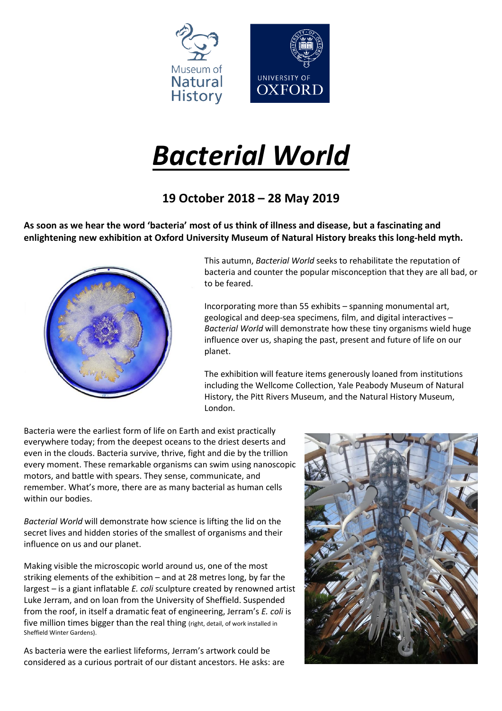

# *Bacterial World*

## **19 October 2018 – 28 May 2019**

As soon as we hear the word 'bacteria' most of us think of illness and disease, but a fascinating and **enlightening new exhibition at Oxford University Museum of Natural History breaks this long-held myth.**



This autumn, *Bacterial World* seeks to rehabilitate the reputation of bacteria and counter the popular misconception that they are all bad, or to be feared.

Incorporating more than 55 exhibits – spanning monumental art, geological and deep-sea specimens, film, and digital interactives – *Bacterial World* will demonstrate how these tiny organisms wield huge influence over us, shaping the past, present and future of life on our planet.

The exhibition will feature items generously loaned from institutions including the Wellcome Collection, Yale Peabody Museum of Natural History, the Pitt Rivers Museum, and the Natural History Museum, London.

Bacteria were the earliest form of life on Earth and exist practically everywhere today; from the deepest oceans to the driest deserts and even in the clouds. Bacteria survive, thrive, fight and die by the trillion every moment. These remarkable organisms can swim using nanoscopic motors, and battle with spears. They sense, communicate, and remember. What's more, there are as many bacterial as human cells within our bodies.

*Bacterial World* will demonstrate how science is lifting the lid on the secret lives and hidden stories of the smallest of organisms and their influence on us and our planet.

Making visible the microscopic world around us, one of the most striking elements of the exhibition – and at 28 metres long, by far the largest – is a giant inflatable *E. coli* sculpture created by renowned artist Luke Jerram, and on loan from the University of Sheffield. Suspended from the roof, in itself a dramatic feat of engineering, Jerram's *E. coli* is five million times bigger than the real thing (right, detail, of work installed in Sheffield Winter Gardens).

As bacteria were the earliest lifeforms, Jerram's artwork could be considered as a curious portrait of our distant ancestors. He asks: are

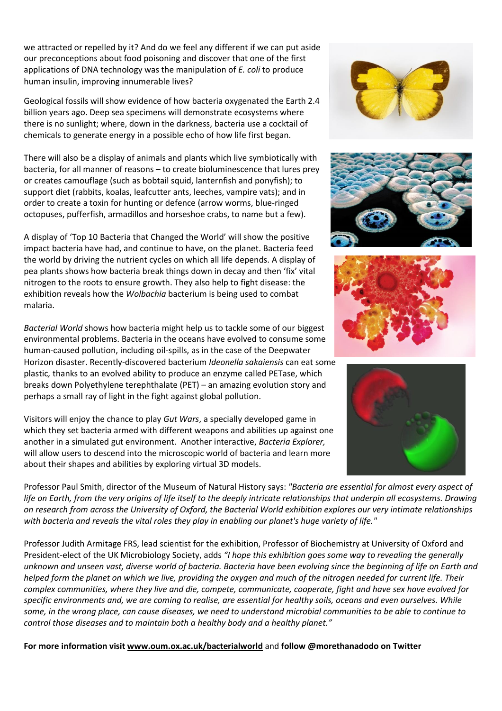we attracted or repelled by it? And do we feel any different if we can put aside our preconceptions about food poisoning and discover that one of the first applications of DNA technology was the manipulation of *E. coli* to produce human insulin, improving innumerable lives?

Geological fossils will show evidence of how bacteria oxygenated the Earth 2.4 billion years ago. Deep sea specimens will demonstrate ecosystems where there is no sunlight; where, down in the darkness, bacteria use a cocktail of chemicals to generate energy in a possible echo of how life first began.

There will also be a display of animals and plants which live symbiotically with bacteria, for all manner of reasons – to create bioluminescence that lures prey or creates camouflage (such as bobtail squid, lanternfish and ponyfish); to support diet (rabbits, koalas, leafcutter ants, leeches, vampire vats); and in order to create a toxin for hunting or defence (arrow worms, blue-ringed octopuses, pufferfish, armadillos and horseshoe crabs, to name but a few).

A display of 'Top 10 Bacteria that Changed the World' will show the positive impact bacteria have had, and continue to have, on the planet. Bacteria feed the world by driving the nutrient cycles on which all life depends. A display of pea plants shows how bacteria break things down in decay and then 'fix' vital nitrogen to the roots to ensure growth. They also help to fight disease: the exhibition reveals how the *Wolbachia* bacterium is being used to combat malaria.

*Bacterial World* shows how bacteria might help us to tackle some of our biggest environmental problems. Bacteria in the oceans have evolved to consume some human-caused pollution, including oil-spills, as in the case of the Deepwater Horizon disaster. Recently-discovered bacterium *Ideonella sakaiensis* can eat some plastic*,* thanks to an evolved ability to produce an enzyme called PETase, which breaks down Polyethylene terephthalate (PET) – an amazing evolution story and perhaps a small ray of light in the fight against global pollution.

Visitors will enjoy the chance to play *Gut Wars*, a specially developed game in which they set bacteria armed with different weapons and abilities up against one another in a simulated gut environment. Another interactive, *Bacteria Explorer,* will allow users to descend into the microscopic world of bacteria and learn more about their shapes and abilities by exploring virtual 3D models.









Professor Paul Smith, director of the Museum of Natural History says: *"Bacteria are essential for almost every aspect of* life on Earth, from the very origins of life itself to the deeply intricate relationships that underpin all ecosystems. Drawing on research from across the University of Oxford, the Bacterial World exhibition explores our very intimate relationships *with bacteria and reveals the vital roles they play in enabling our planet's huge variety of life."*

Professor Judith Armitage FRS, lead scientist for the exhibition, Professor of Biochemistry at University of Oxford and President-elect of the UK Microbiology Society, adds *"I hope this exhibition goes some way to revealing the generally* unknown and unseen vast, diverse world of bacteria. Bacteria have been evolving since the beginning of life on Earth and helped form the planet on which we live, providing the oxygen and much of the nitrogen needed for current life. Their complex communities, where they live and die, compete, communicate, cooperate, fight and have sex have evolved for specific environments and, we are coming to realise, are essential for healthy soils, oceans and even ourselves. While some, in the wrong place, can cause diseases, we need to understand microbial communities to be able to continue to *control those diseases and to maintain both a healthy body and a healthy planet."*

**For more information visit [www.oum.ox.ac.uk/bacterialworld](http://www.oum.ox.ac.uk/bacterialworld)** and **follow @morethanadodo on Twitter**